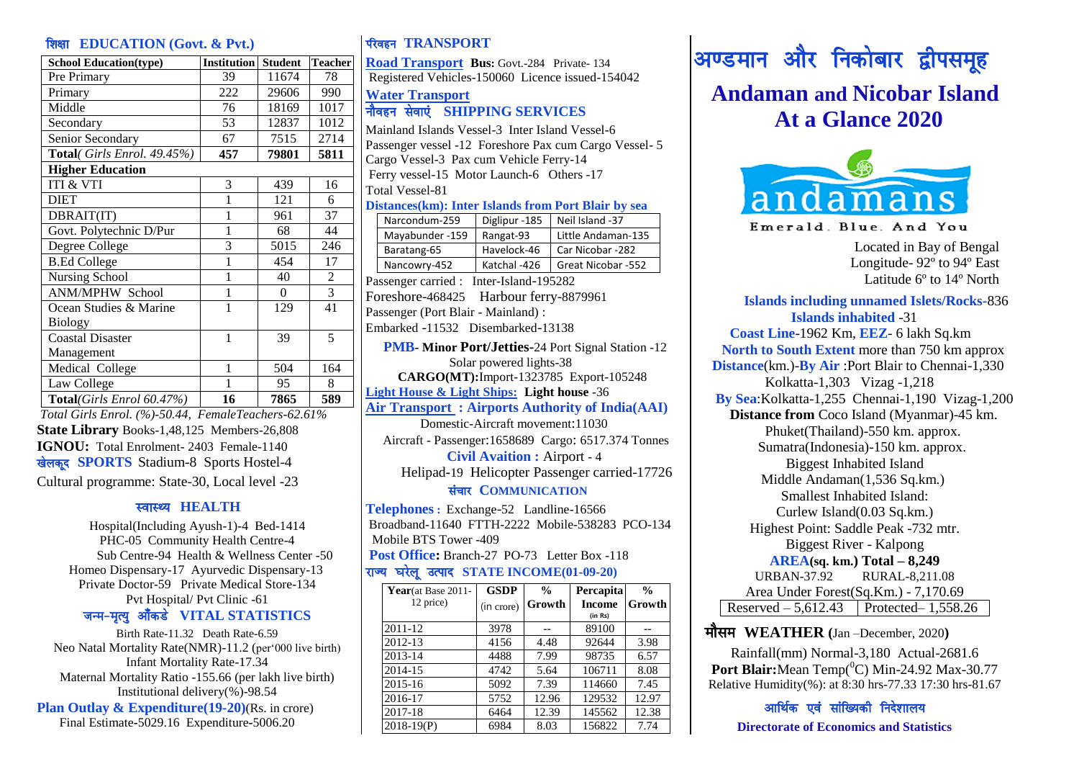# शिक्षा EDUCATION (Govt. & Pvt.)

| <b>School Education(type)</b> | <b>Institution</b> | <b>Student</b> | <b>Teacher</b> |
|-------------------------------|--------------------|----------------|----------------|
| Pre Primary                   | 39                 | 11674          | 78             |
| Primary                       | 222                | 29606          | 990            |
| Middle                        | 76                 | 18169          | 1017           |
| Secondary                     | 53                 | 12837          | 1012           |
| Senior Secondary              | 67                 | 7515           | 2714           |
| Total(Girls Enrol. 49.45%)    | 457                | 79801          | 5811           |
| <b>Higher Education</b>       |                    |                |                |
| <b>ITI &amp; VTI</b>          | 3                  | 439            | 16             |
| <b>DIET</b>                   |                    | 121            | 6              |
| DBRAIT(IT)                    |                    | 961            | 37             |
| Govt. Polytechnic D/Pur       |                    | 68             | 44             |
| Degree College                | 3                  | 5015           | 246            |
| <b>B.Ed College</b>           | 1                  | 454            | 17             |
| Nursing School                | 1                  | 40             | $\overline{c}$ |
| ANM/MPHW School               | 1                  | $\theta$       | 3              |
| Ocean Studies & Marine        | 1                  | 129            | 41             |
| <b>Biology</b>                |                    |                |                |
| <b>Coastal Disaster</b>       | 1                  | 39             | 5              |
| Management                    |                    |                |                |
| Medical College               | 1                  | 504            | 164            |
| Law College                   | 1                  | 95             | 8              |
| Total(Girls Enrol 60.47%)     | 16                 | 7865           | 589            |

Total Girls Enrol. (%)-50.44. FemaleTeachers-62.61% State Library Books-1,48,125 Members-26,808 **IGNOU:** Total Enrolment-2403 Female-1140 खेलकर SPORTS Stadium-8 Sports Hostel-4 Cultural programme: State-30, Local level -23

#### स्वास्थ्य HEALTH

Hospital(Including Ayush-1)-4 Bed-1414 PHC-05 Community Health Centre-4 Sub Centre-94 Health & Wellness Center -50 Homeo Dispensary-17 Ayurvedic Dispensary-13 Private Doctor-59 Private Medical Store-134 Pvt Hospital/Pvt Clinic -61 जन्म-मृत्य औंकडे VITAL STATISTICS

Birth Rate-11.32 Death Rate-6.59 Neo Natal Mortality Rate(NMR)-11.2 (per'000 live birth) **Infant Mortality Rate-17.34** Maternal Mortality Ratio -155.66 (per lakh live birth) Institutional delivery(%)-98.54 **Plan Outlay & Expenditure**( $19-20$ )(Rs. in crore) Final Estimate-5029.16 Expenditure-5006.20

# फ्लिडन TRANSPORT

**Road Transport Bus: Govt.-284 Private-134** Registered Vehicles-150060 Licence issued-154042

**Water Transport** 

नौवहन सेवाएं SHIPPING SERVICES

Mainland Islands Vessel-3 Inter Island Vessel-6 Passenger vessel -12 Foreshore Pax cum Cargo Vessel- 5 Cargo Vessel-3 Pax cum Vehicle Ferry-14 Ferry vessel-15 Motor Launch-6 Others -17 Total Vessel-81

#### Distances(km): Inter Islands from Port Blair by sea

|                                         | Narcondum-259                                      | Diglipur -185 | Neil Island -37    |  |  |
|-----------------------------------------|----------------------------------------------------|---------------|--------------------|--|--|
|                                         | Mayabunder -159                                    | Rangat-93     | Little Andaman-135 |  |  |
|                                         | Baratang-65                                        | Havelock-46   | Car Nicobar -282   |  |  |
|                                         | Great Nicobar -552<br>Nancowry-452<br>Katchal -426 |               |                    |  |  |
| Passenger carried : Inter-Island-195282 |                                                    |               |                    |  |  |

Foreshore-468425 Harbour ferry-8879961 Passenger (Port Blair - Mainland): Embarked -11532 Disembarked-13138

**PMB- Minor Port/Jetties-24 Port Signal Station -12** Solar powered lights-38 CARGO(MT): Import-1323785 Export-105248 Light House & Light Ships: Light house -36 **Air Transport: Airports Authority of India(AAI)** 

Domestic-Aircraft movement: 11030 Aircraft - Passenger: 1658689 Cargo: 6517.374 Tonnes **Civil Avaition : Airport - 4** Helipad-19 Helicopter Passenger carried-17726

## संचार COMMUNICATION

Telephones: Exchange-52 Landline-16566 Broadband-11640 FTTH-2222 Mobile-538283 PCO-134 Mobile BTS Tower -409

**Post Office:** Branch-27 PO-73 Letter Box -118 राज्य घरेल उत्पाद STATE INCOME(01-09-20)

| Year (at Base 2011- | <b>GSDP</b> | $\frac{0}{0}$ | Percapita     | $\frac{0}{0}$ |
|---------------------|-------------|---------------|---------------|---------------|
| 12 price)           | (in crore)  | <b>Growth</b> | <b>Income</b> | Growth        |
|                     |             |               | (in Rs)       |               |
| 2011-12             | 3978        |               | 89100         |               |
| 2012-13             | 4156        | 4.48          | 92644         | 3.98          |
| 2013-14             | 4488        | 7.99          | 98735         | 6.57          |
| 2014-15             | 4742        | 5.64          | 106711        | 8.08          |
| 2015-16             | 5092        | 7.39          | 114660        | 7.45          |
| 2016-17             | 5752        | 12.96         | 129532        | 12.97         |
| 2017-18             | 6464        | 12.39         | 145562        | 12.38         |
| 2018-19(P)          | 6984        | 8.03          | 156822        | 7.74          |

# अण्डमान और निकोबार द्वीपसमूह **Andaman and Nicobar Island**

At a Glance 2020



Emerald, Blue, And You

Located in Bay of Bengal Longitude- 92° to 94° East Latitude 6<sup>°</sup> to 14<sup>°</sup> North

**Islands including unnamed Islets/Rocks-836 Islands inhabited -31** Coast Line-1962 Km, EEZ- 6 lakh Sq.km **North to South Extent** more than 750 km approx **Distance**(km.)-**By Air**: Port Blair to Chennai-1,330 Kolkatta-1.303 Vizag -1.218 By Sea: Kolkatta-1.255 Chennai-1.190 Vizag-1.200 **Distance from Coco Island (Myanmar)-45 km.** Phuket(Thailand)-550 km. approx. Sumatra(Indonesia)-150 km. approx. **Biggest Inhabited Island** Middle Andaman(1,536 Sq.km.) Smallest Inhabited Island: Curlew Island(0.03 Sq.km.) Highest Point: Saddle Peak -732 mtr. **Biggest River - Kalpong**  $AREA$ (sq. km.) Total  $-8.249$ **URBAN-37.92** RURAL-8.211.08 Area Under Forest(Sq.Km.) - 7,170.69 Reserved  $-5,612.43$ Protected- $1,558.26$ 

# मौसम WEATHER (Jan -December, 2020)

Rainfall(mm) Normal-3.180 Actual-2681.6 **Port Blair:** Mean Temp<sup>( $^0C$ </sup>) Min-24.92 Max-30.77 Relative Humidity(%): at 8:30 hrs-77.33 17:30 hrs-81.67

आर्थिक एवं सांख्यिकी निदेशालय

**Directorate of Economics and Statistics**